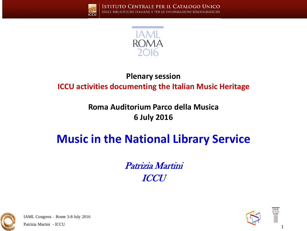



#### **Plenary session**

#### **ICCU activities documenting the Italian Music Heritage**

#### **Roma Auditorium Parco della Musica 6 July 2016**

## **Music in the National Library Service**

Patrizia Martini **ICCU** 



IAML Congress – Rome 3-8 July 2016

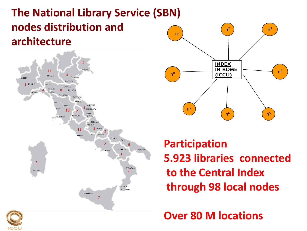#### $n<sup>1</sup>$ **The National Library Service (SBN) nodes distribution and architecture**





**Participation 5.923 libraries connected to the Central Index through 98 local nodes**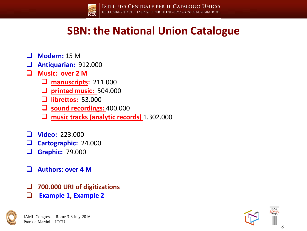

**ISTITUTO CENTRALE PER IL CATALOGO UNICO** DELLE BIBLIOTECHE ITALIANE E PER LE INFORMAZIONI BIBLIOGRAFICHE

#### **SBN: the National Union Catalogue**

- **Modern:** 15 M
- **Antiquarian:** 912.000
- **Music: over 2 M**
	- **manuscripts:** 211.000
	- **printed music:** 504.000
	- **librettos:** 53.000
	- **sound recordings:** 400.000
	- **music tracks (analytic records)** 1.302.000
- **Video:** 223.000
- **Cartographic:** 24.000
- **Graphic:** 79.000
- **Authors: over 4 M**
- **700.000 URI of digitizations**
- **[Example 1,](http://www.sbn.it/opacsbn/opaclib?db=solr_iccu&resultForward=opac/iccu/full.jsp&from=1&nentries=10&searchForm=opac/iccu/error.jsp&do_cmd=search_show_cmd&fname=none&item:1032:BID=IT/ICCU/MSM/0155996) [Example 2](http://www.sbn.it/opacsbn/opaclib?select_db=solr_iccu&searchForm=opac/iccu/avanzata.jsp&do_cmd=search_show_cmd&db=solr_iccu&Invia=Avvia+la+ricerca&saveparams=false&resultForward=opac/iccu/full.jsp&nentries=1&rpnlabel=+Autore+=+Alessandro+Scarlatti+(parole+in+AND)++AND+Disponibilita)**



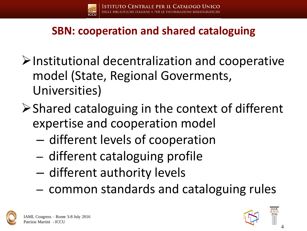

### **SBN: cooperation and shared cataloguing**

- $\triangleright$  Institutional decentralization and cooperative model (State, Regional Goverments, Universities)
- $\triangleright$  Shared cataloguing in the context of different expertise and cooperation model
	- different levels of cooperation
	- different cataloguing profile
	- different authority levels
	- common standards and cataloguing rules



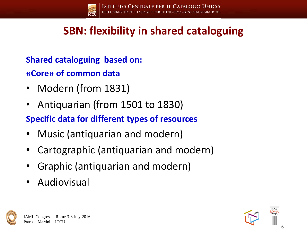

### **SBN: flexibility in shared cataloguing**

**Shared cataloguing based on:**

**«Core» of common data**

- Modern (from 1831)
- Antiquarian (from 1501 to 1830)

**Specific data for different types of resources**

- Music (antiquarian and modern)
- Cartographic (antiquarian and modern)
- Graphic (antiquarian and modern)
- **Audiovisual**



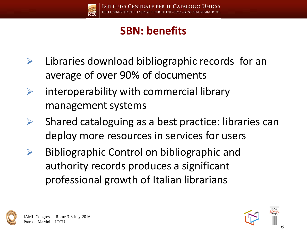

### **SBN: benefits**

- $\triangleright$  Libraries download bibliographic records for an average of over 90% of documents
- $\triangleright$  interoperability with commercial library management systems
- $\triangleright$  Shared cataloguing as a best practice: libraries can deploy more resources in services for users
- $\triangleright$  Bibliographic Control on bibliographic and authority records produces a significant professional growth of Italian librarians



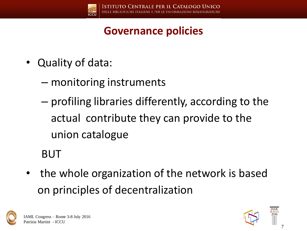

### **Governance policies**

- Quality of data:
	- monitoring instruments
	- profiling libraries differently, according to the actual contribute they can provide to the union catalogue

BUT

the whole organization of the network is based on principles of decentralization



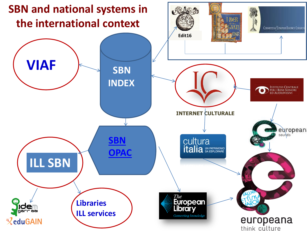